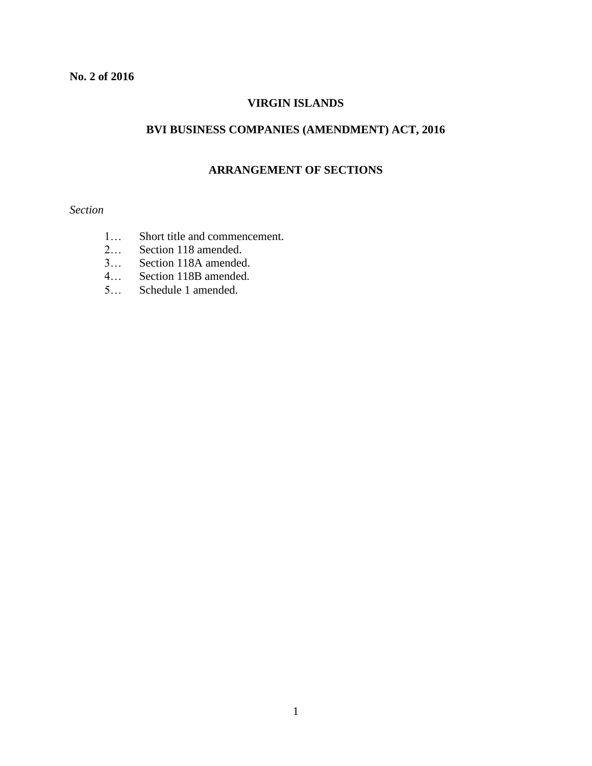# **VIRGIN ISLANDS**

# **BVI BUSINESS COMPANIES (AMENDMENT) ACT, 2016**

### **ARRANGEMENT OF SECTIONS**

# *Section*

- 1… Short title and commencement.
- 2… Section 118 amended.
- 3… Section 118A amended.
- 4… Section 118B amended.
- 5… Schedule 1 amended.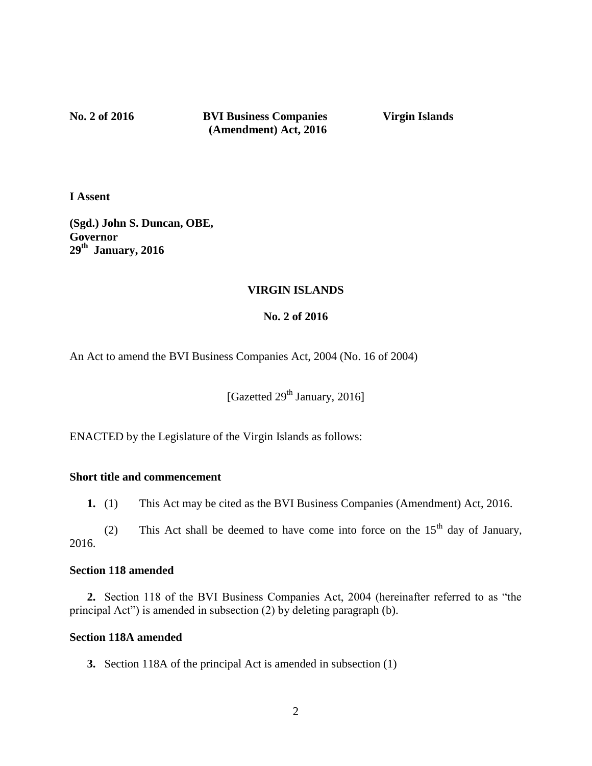**No. 2 of 2016 BVI Business Companies Virgin Islands (Amendment) Act, 2016**

**I Assent**

**(Sgd.) John S. Duncan, OBE, Governor 29th January, 2016**

## **VIRGIN ISLANDS**

# **No. 2 of 2016**

An Act to amend the BVI Business Companies Act, 2004 (No. 16 of 2004)

[Gazetted 29<sup>th</sup> January, 2016]

ENACTED by the Legislature of the Virgin Islands as follows:

#### **Short title and commencement**

**1.** (1) This Act may be cited as the BVI Business Companies (Amendment) Act, 2016.

(2) This Act shall be deemed to have come into force on the  $15<sup>th</sup>$  day of January, 2016.

### **Section 118 amended**

**2.** Section 118 of the BVI Business Companies Act, 2004 (hereinafter referred to as "the principal Act") is amended in subsection (2) by deleting paragraph (b).

## **Section 118A amended**

**3.** Section 118A of the principal Act is amended in subsection (1)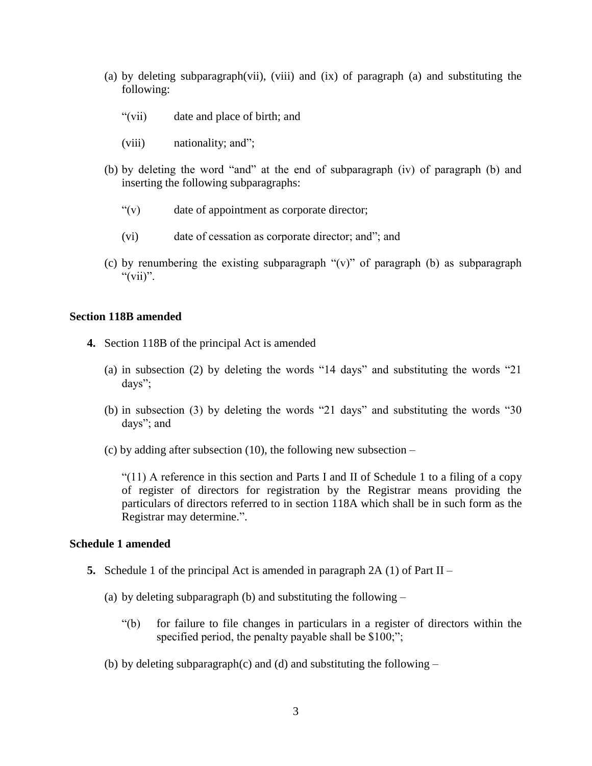- (a) by deleting subparagraph(vii), (viii) and (ix) of paragraph (a) and substituting the following:
	- "(vii) date and place of birth; and
	- (viii) nationality; and";
- (b) by deleting the word "and" at the end of subparagraph (iv) of paragraph (b) and inserting the following subparagraphs:
	- "(v) date of appointment as corporate director;
	- (vi) date of cessation as corporate director; and"; and
- (c) by renumbering the existing subparagraph " $(v)$ " of paragraph (b) as subparagraph " $(vii)$ ".

#### **Section 118B amended**

- **4.** Section 118B of the principal Act is amended
	- (a) in subsection (2) by deleting the words "14 days" and substituting the words "21 days";
	- (b) in subsection (3) by deleting the words "21 days" and substituting the words "30 days"; and
	- (c) by adding after subsection (10), the following new subsection –

"(11) A reference in this section and Parts I and II of Schedule 1 to a filing of a copy of register of directors for registration by the Registrar means providing the particulars of directors referred to in section 118A which shall be in such form as the Registrar may determine.".

#### **Schedule 1 amended**

- **5.** Schedule 1 of the principal Act is amended in paragraph  $2A(1)$  of Part II
	- (a) by deleting subparagraph (b) and substituting the following
		- "(b) for failure to file changes in particulars in a register of directors within the specified period, the penalty payable shall be \$100;";
	- (b) by deleting subparagraph(c) and (d) and substituting the following  $-$